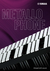

# **METALLO PHONE**

Alloyed with sound.